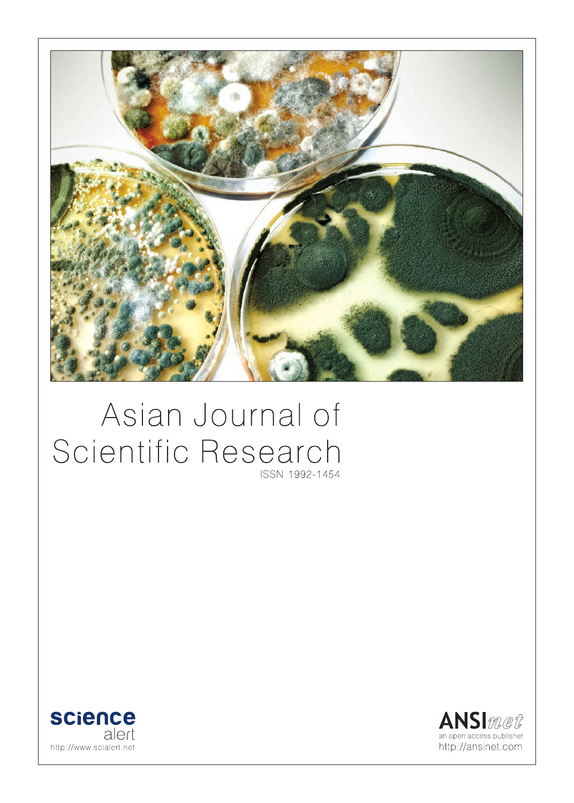

# Asian Journal of Scientific Research ISSN 1992-1454



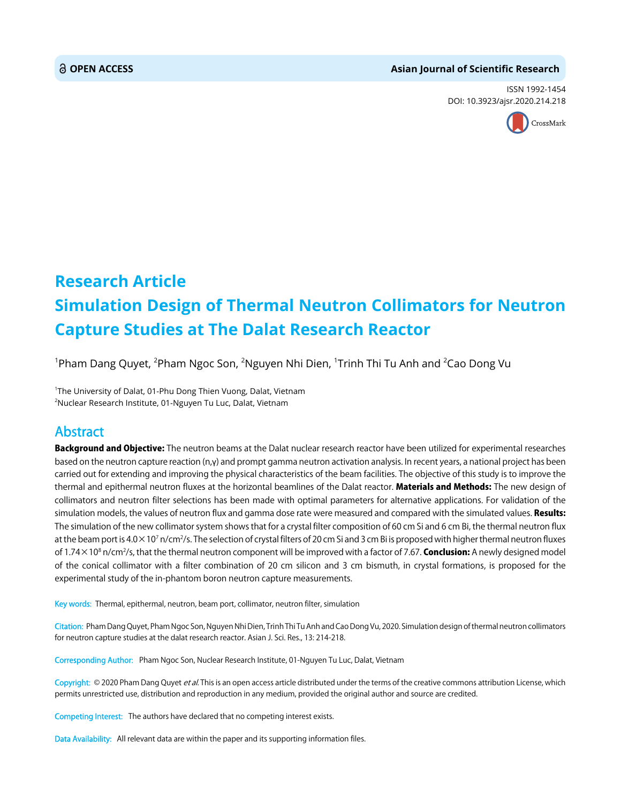#### **OPEN ACCESS Asian Journal of Scientific Research**

ISSN 1992-1454 DOI: 10.3923/ajsr.2020.214.218



## **Research Article Simulation Design of Thermal Neutron Collimators for Neutron Capture Studies at The Dalat Research Reactor**

 $^{\rm 1}$ Pham Dang Quyet,  $^{\rm 2}$ Pham Ngoc Son,  $^{\rm 2}$ Nguyen Nhi Dien,  $^{\rm 1}$ Trinh Thi Tu Anh and  $^{\rm 2}$ Cao Dong Vu

<sup>1</sup>The University of Dalat, 01-Phu Dong Thien Vuong, Dalat, Vietnam 2 Nuclear Research Institute, 01-Nguyen Tu Luc, Dalat, Vietnam

### Abstract

Background and Objective: The neutron beams at the Dalat nuclear research reactor have been utilized for experimental researches based on the neutron capture reaction  $(n,y)$  and prompt gamma neutron activation analysis. In recent years, a national project has been carried out for extending and improving the physical characteristics of the beam facilities. The objective of this study is to improve the thermal and epithermal neutron fluxes at the horizontal beamlines of the Dalat reactor. Materials and Methods: The new design of collimators and neutron filter selections has been made with optimal parameters for alternative applications. For validation of the simulation models, the values of neutron flux and gamma dose rate were measured and compared with the simulated values. Results: The simulation of the new collimator system shows that for a crystal filter composition of 60 cm Si and 6 cm Bi, the thermal neutron flux at the beam port is 4.0×10<sup>7</sup> n/cm<sup>2</sup>/s. The selection of crystal filters of 20 cm Si and 3 cm Bi is proposed with higher thermal neutron fluxes of 1.74×10<sup>8</sup> n/cm<sup>2</sup>/s, that the thermal neutron component will be improved with a factor of 7.67. **Conclusion:** A newly designed model of the conical collimator with a filter combination of 20 cm silicon and 3 cm bismuth, in crystal formations, is proposed for the experimental study of the in-phantom boron neutron capture measurements.

Key words: Thermal, epithermal, neutron, beam port, collimator, neutron filter, simulation

Citation: Pham Dang Quyet, Pham Ngoc Son, Nguyen Nhi Dien, Trinh Thi Tu Anh and Cao Dong Vu, 2020. Simulation design of thermal neutron collimators for neutron capture studies at the dalat research reactor. Asian J. Sci. Res., 13: 214-218.

Corresponding Author: Pham Ngoc Son, Nuclear Research Institute, 01-Nguyen Tu Luc, Dalat, Vietnam

Copyright: © 2020 Pham Dang Quyet et al. This is an open access article distributed under the terms of the creative commons attribution License, which permits unrestricted use, distribution and reproduction in any medium, provided the original author and source are credited.

Competing Interest: The authors have declared that no competing interest exists.

Data Availability: All relevant data are within the paper and its supporting information files.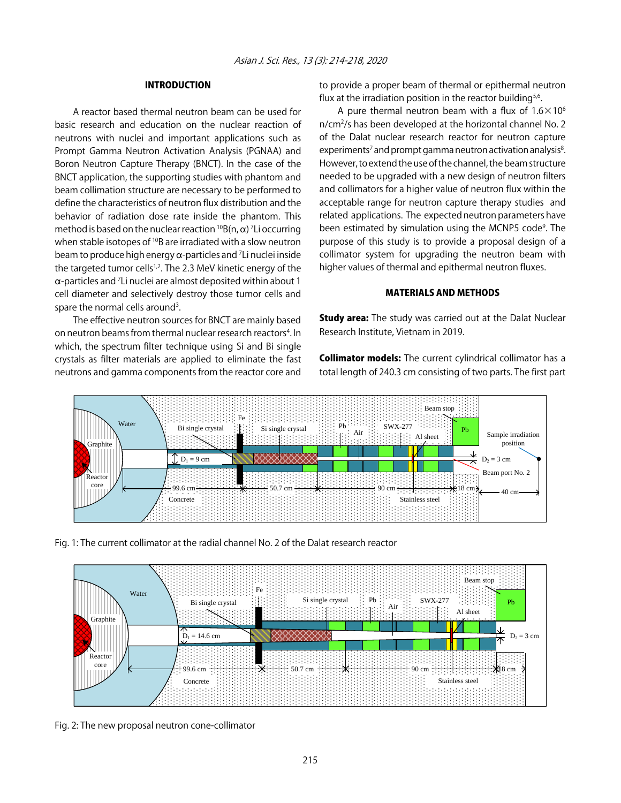#### INTRODUCTION

A reactor based thermal neutron beam can be used for basic research and education on the nuclear reaction of neutrons with nuclei and important applications such as Prompt Gamma Neutron Activation Analysis (PGNAA) and Boron Neutron Capture Therapy (BNCT). In the case of the BNCT application, the supporting studies with phantom and beam collimation structure are necessary to be performed to define the characteristics of neutron flux distribution and the behavior of radiation dose rate inside the phantom. This method is based on the nuclear reaction  ${}^{10}B(n,\alpha)$  <sup>7</sup> Li occurring when stable isotopes of <sup>10</sup>B are irradiated with a slow neutron beam to produce high energy  $\alpha$ -particles and <sup>7</sup>Li nuclei inside the targeted tumor cells<sup>1,2</sup>. The 2.3 MeV kinetic energy of the  $\alpha$ -particles and <sup>7</sup>Li nuclei are almost deposited within about 1 cell diameter and selectively destroy those tumor cells and spare the normal cells around<sup>3</sup>.

The effective neutron sources for BNCT are mainly based on neutron beams from thermal nuclear research reactors<sup>4</sup>. In which, the spectrum filter technique using Si and Bi single crystals as filter materials are applied to eliminate the fast neutrons and gamma components from the reactor core and to provide a proper beam of thermal or epithermal neutron flux at the irradiation position in the reactor building<sup>5,6</sup>.

A pure thermal neutron beam with a flux of  $1.6 \times 10^6$ n/cm<sup>2</sup>/s has been developed at the horizontal channel No. 2 of the Dalat nuclear research reactor for neutron capture  $experiments<sup>7</sup>$  and prompt gamma neutron activation analysis $<sup>8</sup>$ .</sup> However, to extend the use of the channel, the beam structure needed to be upgraded with a new design of neutron filters and collimators for a higher value of neutron flux within the acceptable range for neutron capture therapy studies and related applications. The expected neutron parameters have been estimated by simulation using the MCNP5 code<sup>9</sup>. The purpose of this study is to provide a proposal design of a collimator system for upgrading the neutron beam with higher values of thermal and epithermal neutron fluxes.

#### MATERIALS AND METHODS

**Study area:** The study was carried out at the Dalat Nuclear Research Institute, Vietnam in 2019.

**Collimator models:** The current cylindrical collimator has a total length of 240.3 cm consisting of two parts. The first part



Fig. 1: The current collimator at the radial channel No. 2 of the Dalat research reactor



Fig. 2: The new proposal neutron cone-collimator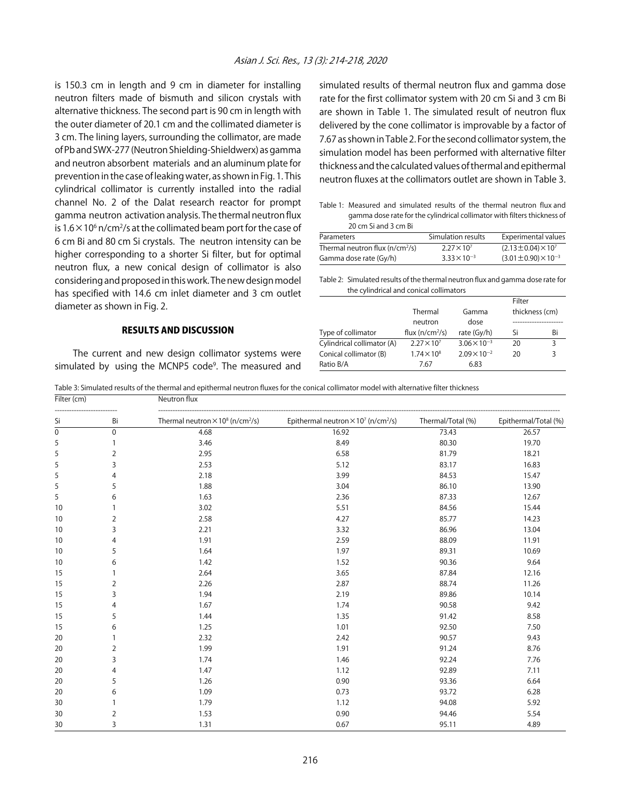is 150.3 cm in length and 9 cm in diameter for installing neutron filters made of bismuth and silicon crystals with alternative thickness. The second part is 90 cm in length with the outer diameter of 20.1 cm and the collimated diameter is 3 cm. The lining layers, surrounding the collimator, are made of Pb and SWX-277 (Neutron Shielding-Shieldwerx) as gamma and neutron absorbent materials and an aluminum plate for prevention in the case of leaking water, as shown in Fig. 1. This cylindrical collimator is currently installed into the radial channel No. 2 of the Dalat research reactor for prompt gamma neutron activation analysis. The thermal neutron flux is 1.6  $\times$  10 $^{\rm 6}$  n/cm $^{\rm 2}$ /s at the collimated beam port for the case of 6 cm Bi and 80 cm Si crystals. The neutron intensity can be higher corresponding to a shorter Si filter, but for optimal neutron flux, a new conical design of collimator is also considering and proposed in this work. The new design model has specified with 14.6 cm inlet diameter and 3 cm outlet diameter as shown in Fig. 2.

#### RESULTS AND DISCUSSION

The current and new design collimator systems were simulated by using the MCNP5 code<sup>9</sup>. The measured and

simulated results of thermal neutron flux and gamma dose rate for the first collimator system with 20 cm Si and 3 cm Bi are shown in Table 1. The simulated result of neutron flux delivered by the cone collimator is improvable by a factor of 7.67 as shown in Table 2. For the second collimator system, the simulation model has been performed with alternative filter thickness and the calculated values of thermal and epithermal neutron fluxes at the collimators outlet are shown in Table 3.

Table 1: Measured and simulated results of the thermal neutron flux and gamma dose rate for the cylindrical collimator with filters thickness of 20 cm Si and 3 cm Bi

| Parameters                       | Simulation results    | Experimental values              |
|----------------------------------|-----------------------|----------------------------------|
| Thermal neutron flux $(n/cm2/s)$ | $2.27 \times 10^{7}$  | $(2.13 \pm 0.04) \times 10^{7}$  |
| Gamma dose rate (Gy/h)           | $3.33 \times 10^{-3}$ | $(3.01 \pm 0.90) \times 10^{-3}$ |

Table 2: Simulated results of the thermal neutron flux and gamma dose rate for the cylindrical and conical collimators

|                            |                      |                       | Filter |                |  |
|----------------------------|----------------------|-----------------------|--------|----------------|--|
|                            | Thermal              | Gamma                 |        | thickness (cm) |  |
|                            | neutron              | dose                  |        |                |  |
| Type of collimator         | flux $(n/cm^2/s)$    | rate (Gy/h)           | Si     | Bi             |  |
| Cylindrical collimator (A) | $2.27 \times 10^7$   | $3.06 \times 10^{-3}$ | 20     | २              |  |
| Conical collimator (B)     | $1.74 \times 10^{8}$ | $2.09 \times 10^{-2}$ | 20     | ੨              |  |
| Ratio B/A                  | 7.67                 | 6.83                  |        |                |  |

Table 3: Simulated results of the thermal and epithermal neutron fluxes for the conical collimator model with alternative filter thickness

| Filter (cm) |                | Neutron flux                                                    |                                                                    |                   |                      |
|-------------|----------------|-----------------------------------------------------------------|--------------------------------------------------------------------|-------------------|----------------------|
| Si          | Bi             | Thermal neutron $\times$ 10 <sup>8</sup> (n/cm <sup>2</sup> /s) | Epithermal neutron $\times$ 10 <sup>7</sup> (n/cm <sup>2</sup> /s) | Thermal/Total (%) | Epithermal/Total (%) |
| $\mathbf 0$ | $\mathbf 0$    | 4.68                                                            | 16.92                                                              | 73.43             | 26.57                |
| 5           | 1              | 3.46                                                            | 8.49                                                               | 80.30             | 19.70                |
| 5           | $\overline{2}$ | 2.95                                                            | 6.58                                                               | 81.79             | 18.21                |
| 5           | 3              | 2.53                                                            | 5.12                                                               | 83.17             | 16.83                |
| 5           | 4              | 2.18                                                            | 3.99                                                               | 84.53             | 15.47                |
| 5           | 5              | 1.88                                                            | 3.04                                                               | 86.10             | 13.90                |
| 5           | 6              | 1.63                                                            | 2.36                                                               | 87.33             | 12.67                |
| 10          |                | 3.02                                                            | 5.51                                                               | 84.56             | 15.44                |
| 10          | 2              | 2.58                                                            | 4.27                                                               | 85.77             | 14.23                |
| 10          | 3              | 2.21                                                            | 3.32                                                               | 86.96             | 13.04                |
| 10          | 4              | 1.91                                                            | 2.59                                                               | 88.09             | 11.91                |
| 10          | 5              | 1.64                                                            | 1.97                                                               | 89.31             | 10.69                |
| 10          | 6              | 1.42                                                            | 1.52                                                               | 90.36             | 9.64                 |
| 15          |                | 2.64                                                            | 3.65                                                               | 87.84             | 12.16                |
| 15          | $\overline{2}$ | 2.26                                                            | 2.87                                                               | 88.74             | 11.26                |
| 15          | 3              | 1.94                                                            | 2.19                                                               | 89.86             | 10.14                |
| 15          | 4              | 1.67                                                            | 1.74                                                               | 90.58             | 9.42                 |
| 15          | 5              | 1.44                                                            | 1.35                                                               | 91.42             | 8.58                 |
| 15          | 6              | 1.25                                                            | 1.01                                                               | 92.50             | 7.50                 |
| 20          |                | 2.32                                                            | 2.42                                                               | 90.57             | 9.43                 |
| 20          | $\overline{2}$ | 1.99                                                            | 1.91                                                               | 91.24             | 8.76                 |
| 20          | 3              | 1.74                                                            | 1.46                                                               | 92.24             | 7.76                 |
| 20          | 4              | 1.47                                                            | 1.12                                                               | 92.89             | 7.11                 |
| 20          | 5              | 1.26                                                            | 0.90                                                               | 93.36             | 6.64                 |
| 20          | 6              | 1.09                                                            | 0.73                                                               | 93.72             | 6.28                 |
| 30          |                | 1.79                                                            | 1.12                                                               | 94.08             | 5.92                 |
| 30          | $\overline{2}$ | 1.53                                                            | 0.90                                                               | 94.46             | 5.54                 |
| 30          | 3              | 1.31                                                            | 0.67                                                               | 95.11             | 4.89                 |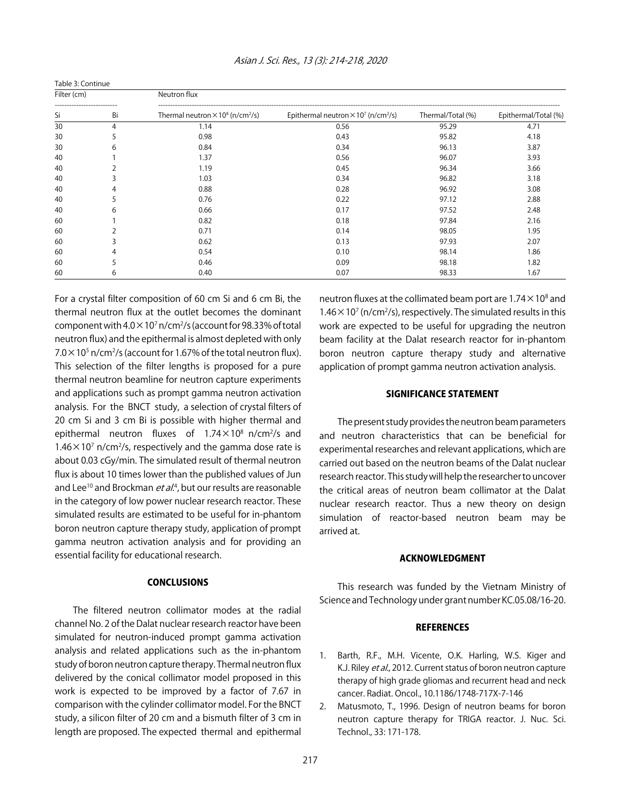| Table 3: Continue |               |                                                                 |                                                                    |                   |                      |  |
|-------------------|---------------|-----------------------------------------------------------------|--------------------------------------------------------------------|-------------------|----------------------|--|
| Filter (cm)       |               | Neutron flux                                                    |                                                                    |                   |                      |  |
| Si                | Bi            | Thermal neutron $\times$ 10 <sup>8</sup> (n/cm <sup>2</sup> /s) | Epithermal neutron $\times$ 10 <sup>7</sup> (n/cm <sup>2</sup> /s) | Thermal/Total (%) | Epithermal/Total (%) |  |
| 30                | 4             | 1.14                                                            | 0.56                                                               | 95.29             | 4.71                 |  |
| 30                | $\mathcal{L}$ | 0.98                                                            | 0.43                                                               | 95.82             | 4.18                 |  |
| 30                | 6             | 0.84                                                            | 0.34                                                               | 96.13             | 3.87                 |  |
| 40                |               | 1.37                                                            | 0.56                                                               | 96.07             | 3.93                 |  |
| 40                |               | 1.19                                                            | 0.45                                                               | 96.34             | 3.66                 |  |
| 40                |               | 1.03                                                            | 0.34                                                               | 96.82             | 3.18                 |  |
| 40                | 4             | 0.88                                                            | 0.28                                                               | 96.92             | 3.08                 |  |
| 40                |               | 0.76                                                            | 0.22                                                               | 97.12             | 2.88                 |  |
| 40                | 6             | 0.66                                                            | 0.17                                                               | 97.52             | 2.48                 |  |
| 60                |               | 0.82                                                            | 0.18                                                               | 97.84             | 2.16                 |  |
| 60                |               | 0.71                                                            | 0.14                                                               | 98.05             | 1.95                 |  |
| 60                |               | 0.62                                                            | 0.13                                                               | 97.93             | 2.07                 |  |
| 60                | 4             | 0.54                                                            | 0.10                                                               | 98.14             | 1.86                 |  |
| 60                |               | 0.46                                                            | 0.09                                                               | 98.18             | 1.82                 |  |
| 60                | 6             | 0.40                                                            | 0.07                                                               | 98.33             | 1.67                 |  |

For a crystal filter composition of 60 cm Si and 6 cm Bi, the thermal neutron flux at the outlet becomes the dominant component with  $4.0 \times 10^7$  n/cm<sup>2</sup>/s (account for 98.33% of total neutron flux) and the epithermal is almost depleted with only  $7.0 \times 10^5$  n/cm<sup>2</sup>/s (account for 1.67% of the total neutron flux). This selection of the filter lengths is proposed for a pure thermal neutron beamline for neutron capture experiments and applications such as prompt gamma neutron activation analysis. For the BNCT study, a selection of crystal filters of 20 cm Si and 3 cm Bi is possible with higher thermal and epithermal neutron fluxes of  $1.74 \times 10^8$  n/cm<sup>2</sup>/s and  $1.46 \times 10^7$  n/cm<sup>2</sup>/s, respectively and the gamma dose rate is about 0.03 cGy/min. The simulated result of thermal neutron flux is about 10 times lower than the published values of Jun and Lee<sup>10</sup> and Brockman *et al.*<sup>4</sup>, but our results are reasonable in the category of low power nuclear research reactor. These simulated results are estimated to be useful for in-phantom boron neutron capture therapy study, application of prompt gamma neutron activation analysis and for providing an essential facility for educational research.

#### **CONCLUSIONS**

The filtered neutron collimator modes at the radial channel No. 2 of the Dalat nuclear research reactor have been simulated for neutron-induced prompt gamma activation analysis and related applications such as the in-phantom study of boron neutron capture therapy. Thermal neutron flux delivered by the conical collimator model proposed in this work is expected to be improved by a factor of 7.67 in comparison with the cylinder collimator model. For the BNCT study, a silicon filter of 20 cm and a bismuth filter of 3 cm in length are proposed. The expected thermal and epithermal

neutron fluxes at the collimated beam port are  $1.74 \times 10^8$  and  $1.46 \times 10^{7}$  (n/cm<sup>2</sup>/s), respectively. The simulated results in this work are expected to be useful for upgrading the neutron beam facility at the Dalat research reactor for in-phantom boron neutron capture therapy study and alternative application of prompt gamma neutron activation analysis.

#### SIGNIFICANCE STATEMENT

The present study provides the neutron beam parameters and neutron characteristics that can be beneficial for experimental researches and relevant applications, which are carried out based on the neutron beams of the Dalat nuclear research reactor. This study will help the researcher to uncover the critical areas of neutron beam collimator at the Dalat nuclear research reactor. Thus a new theory on design simulation of reactor-based neutron beam may be arrived at.

#### ACKNOWLEDGMENT

This research was funded by the Vietnam Ministry of Science and Technology under grant number KC.05.08/16-20.

#### **REFERENCES**

- 1. Barth, R.F., M.H. Vicente, O.K. Harling, W.S. Kiger and K.J. Riley et al., 2012. Current status of boron neutron capture therapy of high grade gliomas and recurrent head and neck cancer. Radiat. Oncol., 10.1186/1748-717X-7-146
- 2. Matusmoto, T., 1996. Design of neutron beams for boron neutron capture therapy for TRIGA reactor. J. Nuc. Sci. Technol., 33: 171-178.